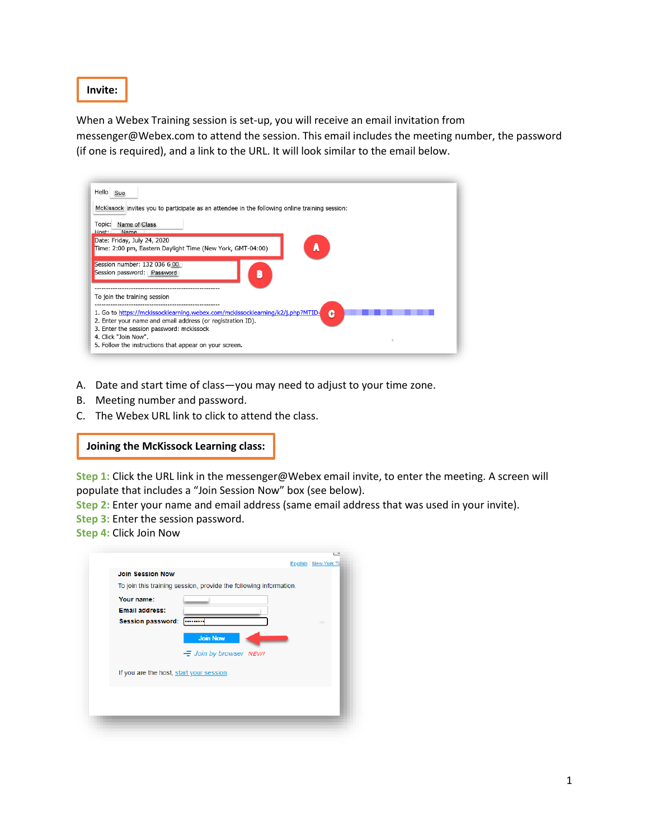**Invite:**

When a Webex Training session is set-up, you will receive an email invitation from messenger@Webex.com to attend the session. This email includes the meeting number, the password (if one is required), and a link to the URL. It will look similar to the email below.

| Hello Sue<br>McKissock invites you to participate as an attendee in the following online training session:<br>Name of Class<br>Topic:<br>Name<br>Host:                                                                                                                    |   |
|---------------------------------------------------------------------------------------------------------------------------------------------------------------------------------------------------------------------------------------------------------------------------|---|
| Date: Friday, July 24, 2020<br>Time: 2:00 pm, Eastern Daylight Time (New York, GMT-04:00)                                                                                                                                                                                 |   |
| Session number: 132 036 6 00<br>Session password: Password                                                                                                                                                                                                                |   |
| To join the training session                                                                                                                                                                                                                                              |   |
| 1. Go to https://mckissocklearning.webex.com/mckissocklearning/k2/j.php?MTID=<br>2. Enter your name and email address (or registration ID).<br>3. Enter the session password: mckissock<br>4. Click "Join Now".<br>5. Follow the instructions that appear on your screen. | c |

- A. Date and start time of class—you may need to adjust to your time zone.
- B. Meeting number and password.
- C. The Webex URL link to click to attend the class.

#### **Joining the McKissock Learning class:**

**Step 1:** Click the URL link in the messenger@Webex email invite, to enter the meeting. A screen will populate that includes a "Join Session Now" box (see below).

**Step 2:** Enter your name and email address (same email address that was used in your invite).

- **Step 3:** Enter the session password.
- **Step 4:** Click Join Now

| <b>Join Session Now</b>                  |                                                                   |
|------------------------------------------|-------------------------------------------------------------------|
|                                          | To join this training session, provide the following information. |
| Your name:                               |                                                                   |
| <b>Email address:</b>                    |                                                                   |
| <b>Session password:</b>                 |                                                                   |
|                                          | <b>Join Now</b>                                                   |
|                                          | $\equiv$ Join by browser NEW!                                     |
| If you are the host, start your session. |                                                                   |
|                                          |                                                                   |
|                                          |                                                                   |
|                                          |                                                                   |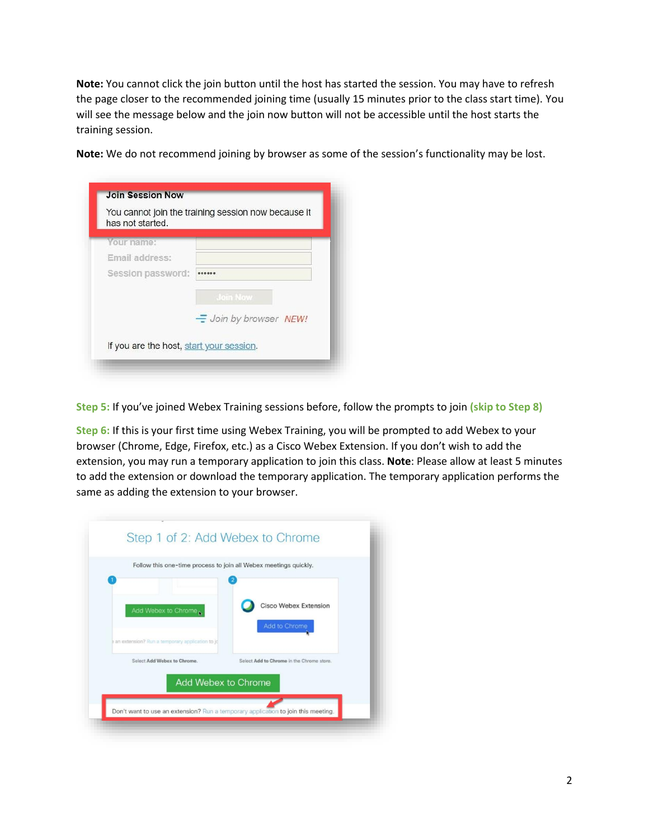**Note:** You cannot click the join button until the host has started the session. You may have to refresh the page closer to the recommended joining time (usually 15 minutes prior to the class start time). You will see the message below and the join now button will not be accessible until the host starts the training session.

| has not started.  |                        |
|-------------------|------------------------|
| Your name:        |                        |
| Email address:    |                        |
| Session password: |                        |
|                   | <b>Join Now</b>        |
|                   | - Join by browser NEW! |

**Note:** We do not recommend joining by browser as some of the session's functionality may be lost.

**Step 5:** If you've joined Webex Training sessions before, follow the prompts to join **(skip to Step 8)**

**Step 6:** If this is your first time using Webex Training, you will be prompted to add Webex to your browser (Chrome, Edge, Firefox, etc.) as a Cisco Webex Extension. If you don't wish to add the extension, you may run a temporary application to join this class. **Note**: Please allow at least 5 minutes to add the extension or download the temporary application. The temporary application performs the same as adding the extension to your browser.

|                                                                                | Follow this one-time process to join all Webex meetings quickly. |
|--------------------------------------------------------------------------------|------------------------------------------------------------------|
| Add Webex to Chrome                                                            | <b>Cisco Webex Extension</b><br>Add to Chrome                    |
| an extension? Run a temporary application to jo<br>Select Add Webex to Chrome. | Select Add to Chrome in the Chrome store.                        |
|                                                                                | Add Webex to Chrome                                              |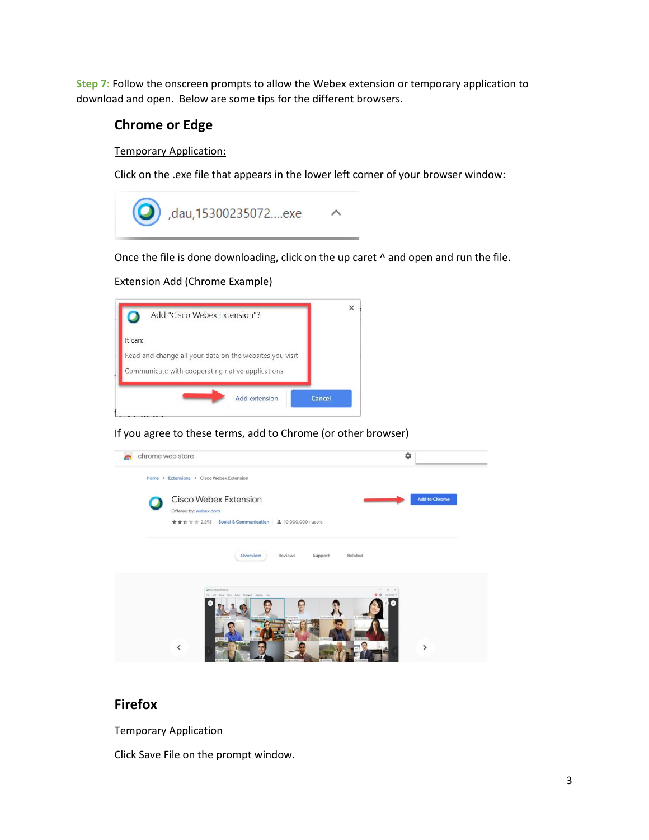**Step 7:** Follow the onscreen prompts to allow the Webex extension or temporary application to download and open. Below are some tips for the different browsers.

## **Chrome or Edge**

Temporary Application:

Click on the .exe file that appears in the lower left corner of your browser window:



Once the file is done downloading, click on the up caret  $\wedge$  and open and run the file.

#### Extension Add (Chrome Example)



If you agree to these terms, add to Chrome (or other browser)

| chrome web store | ☆                                                                                                                                        |                      |
|------------------|------------------------------------------------------------------------------------------------------------------------------------------|----------------------|
|                  | Home > Extensions > Cisco Webex Extension                                                                                                |                      |
|                  | Cisco Webex Extension<br>Offered by: webex.com                                                                                           | <b>Add to Chrome</b> |
|                  | ★★★★ ± 2,293 Social & Communication   ± 10,000,000+ users                                                                                |                      |
|                  | Overview<br>Reviews<br>Support<br>Related                                                                                                |                      |
|                  |                                                                                                                                          |                      |
|                  | <b>Q</b> Cars Weber Montings<br>$D \times$<br>$\sim$<br><b>O</b> <i>Q</i> Consults 1<br>Fix LOt Show View Judia Participate Meeting View |                      |
|                  |                                                                                                                                          |                      |
|                  | <b>EL AIN AUGUS</b>                                                                                                                      |                      |
|                  |                                                                                                                                          |                      |

### **Firefox**

Temporary Application

Click Save File on the prompt window.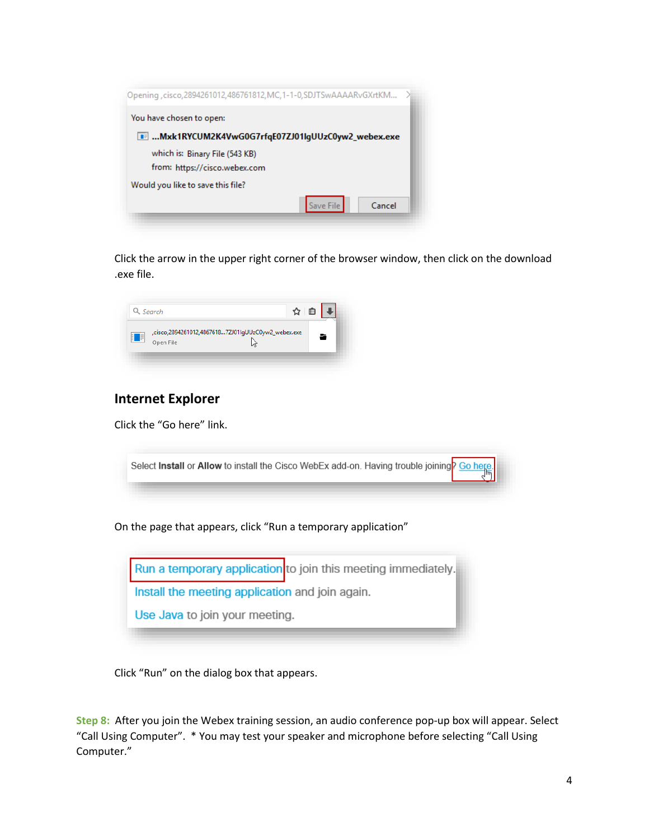| Opening , cisco, 2894261012, 486761812, MC, 1-1-0, SDJTSwAAAARvGXrtKM |  |
|-----------------------------------------------------------------------|--|
| You have chosen to open:                                              |  |
| <b>■ Mxk1RYCUM2K4VwG0G7rfgE07ZJ01lgUUzC0yw2_webex.exe</b>             |  |
| which is: Binary File (543 KB)                                        |  |
| from: https://cisco.webex.com                                         |  |
| Would you like to save this file?                                     |  |
| Save File<br>Cancel                                                   |  |

Click the arrow in the upper right corner of the browser window, then click on the download .exe file.



# **Internet Explorer**

Click the "Go here" link.

|  | Select Install or Allow to install the Cisco WebEx add-on. Having trouble joining Cohece |  |
|--|------------------------------------------------------------------------------------------|--|
|  |                                                                                          |  |
|  |                                                                                          |  |

On the page that appears, click "Run a temporary application"



Click "Run" on the dialog box that appears.

**Step 8:** After you join the Webex training session, an audio conference pop-up box will appear. Select "Call Using Computer". \* You may test your speaker and microphone before selecting "Call Using Computer."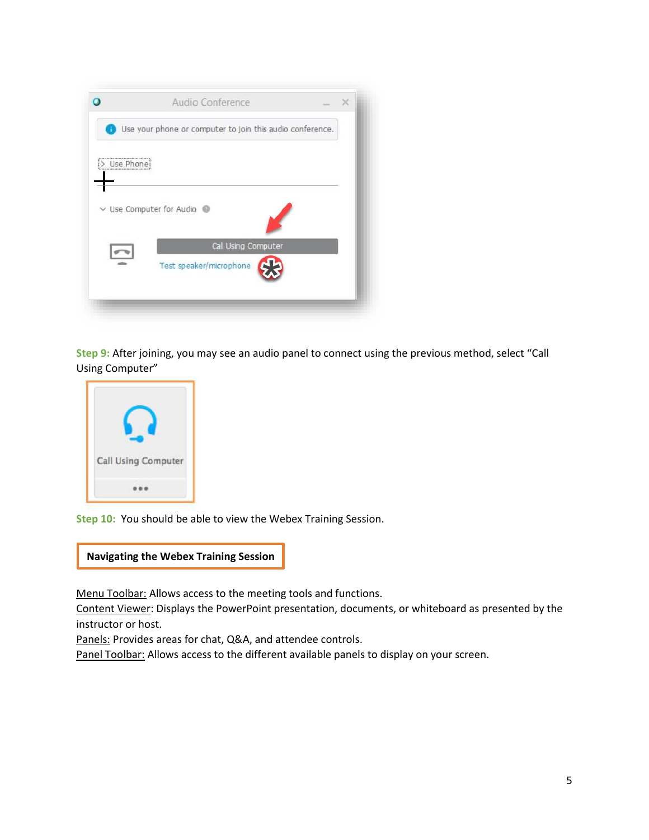|                 | Audio Conference                                          | $\times$ |
|-----------------|-----------------------------------------------------------|----------|
|                 | Use your phone or computer to join this audio conference. |          |
| <br>> Use Phone |                                                           |          |
|                 | $\vee$ Use Computer for Audio                             |          |
|                 | Call Using Computer                                       |          |
|                 | Test speaker/microphone                                   |          |

**Step 9:** After joining, you may see an audio panel to connect using the previous method, select "Call Using Computer"



**Step 10:** You should be able to view the Webex Training Session.



Menu Toolbar: Allows access to the meeting tools and functions.

Content Viewer: Displays the PowerPoint presentation, documents, or whiteboard as presented by the instructor or host.

Panels: Provides areas for chat, Q&A, and attendee controls.

Panel Toolbar: Allows access to the different available panels to display on your screen.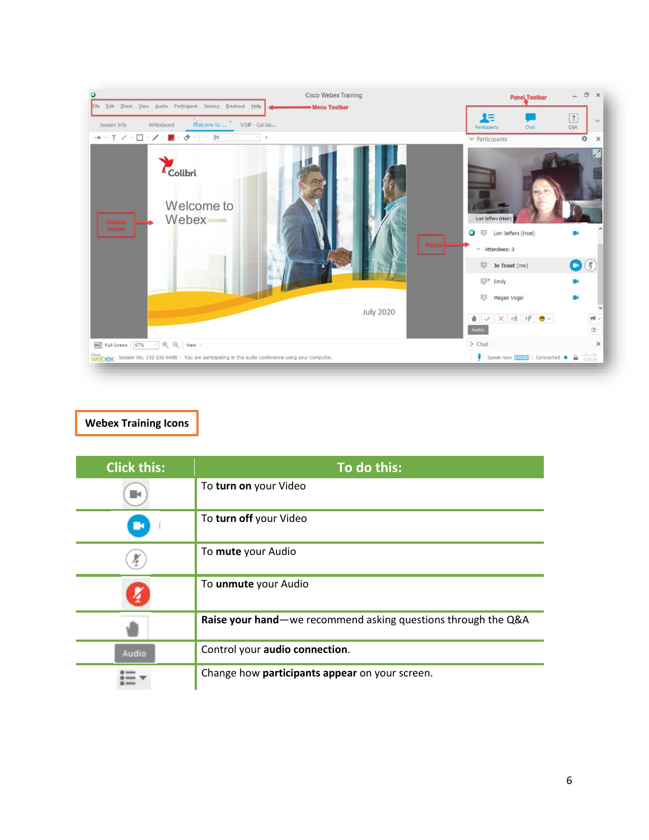

## **Webex Training Icons**

| <b>Click this:</b> | To do this:                                                   |
|--------------------|---------------------------------------------------------------|
|                    | To turn on your Video                                         |
| - 5                | To turn off your Video                                        |
|                    | To mute your Audio                                            |
|                    | To unmute your Audio                                          |
|                    | Raise your hand—we recommend asking questions through the Q&A |
| <b>Audio</b>       | Control your audio connection.                                |
|                    | Change how participants appear on your screen.                |